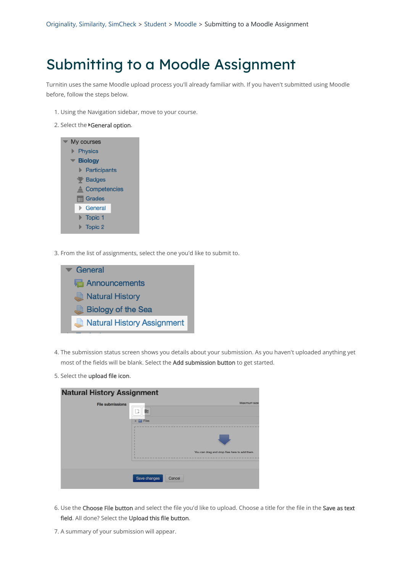Turnitin uses the same Moodle upload process you'll already familiar with. If you haven't submitted using Moodle before, follow the steps below.

- 1. Using the Navigation sidebar, move to your course.
- 2. Select the General option.



3. From the list of assignments, select the one you'd like to submit to.



- 4. The submission status screen shows you details about your submission. As you haven't uploaded anything yet most of the fields will be blank. Select the Add submission button to get started.
- 5. Select the upload file icon.

| <b>Natural History Assignment</b> |       |              |
|-----------------------------------|-------|--------------|
| <b>File submissions</b>           |       | Maximum size |
|                                   |       |              |
|                                   | Files |              |
|                                   |       |              |



6. Use the Choose File button and select the file you'd like to upload. Choose a title for the file in the Save as text field. All done? Select the Upload this file button.

7. A summary of your submission will appear.

## Submitting to a Moodle Assignment